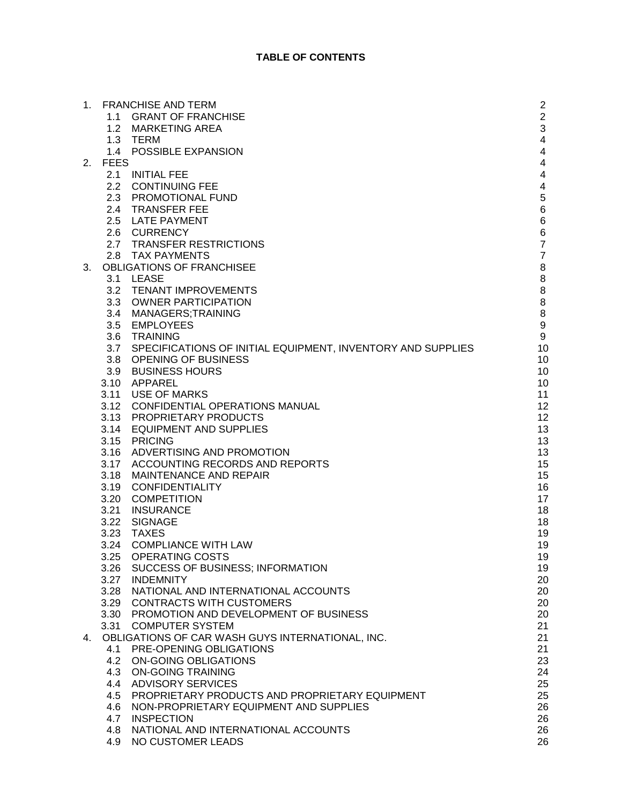|    |             | 1. FRANCHISE AND TERM                                       | $\overline{c}$          |
|----|-------------|-------------------------------------------------------------|-------------------------|
|    | 1.1         | <b>GRANT OF FRANCHISE</b>                                   | $\overline{2}$          |
|    |             |                                                             | 3                       |
|    |             | 1.2 MARKETING AREA<br>1.3 TERM                              | $\overline{\mathbf{4}}$ |
|    |             | POSSIBLE EXPANSION                                          |                         |
|    | 1.4         |                                                             | $\overline{\mathbf{4}}$ |
| 2. | <b>FEES</b> |                                                             | $\overline{\mathbf{4}}$ |
|    |             | 2.1 INITIAL FEE                                             | $\overline{\mathbf{4}}$ |
|    |             | 2.2 CONTINUING FEE                                          | 4                       |
|    | 2.3         | PROMOTIONAL FUND                                            | 5                       |
|    |             | 2.4 TRANSFER FEE                                            | $\,6$                   |
|    |             | 2.5 LATE PAYMENT                                            | $\,6$                   |
|    |             | 2.6 CURRENCY                                                | $\,6$                   |
|    |             | 2.7 TRANSFER RESTRICTIONS                                   | $\overline{7}$          |
|    | 2.8         | <b>TAX PAYMENTS</b>                                         | $\overline{7}$          |
| 3. |             | OBLIGATIONS OF FRANCHISEE                                   | 8                       |
|    |             | 3.1 LEASE                                                   | 8                       |
|    |             | 3.2 TENANT IMPROVEMENTS                                     | 8                       |
|    | 3.3         | <b>OWNER PARTICIPATION</b>                                  | 8                       |
|    |             | 3.4 MANAGERS;TRAINING                                       | 8                       |
|    | 3.5         | <b>EMPLOYEES</b>                                            | $\boldsymbol{9}$        |
|    | 3.6         | TRAINING                                                    | $\boldsymbol{9}$        |
|    | 3.7         | SPECIFICATIONS OF INITIAL EQUIPMENT, INVENTORY AND SUPPLIES | 10                      |
|    |             | 3.8 OPENING OF BUSINESS                                     | 10                      |
|    | 3.9         | <b>BUSINESS HOURS</b>                                       | 10                      |
|    |             | 3.10 APPAREL                                                | 10                      |
|    |             | 3.11 USE OF MARKS                                           | 11                      |
|    |             | 3.12 CONFIDENTIAL OPERATIONS MANUAL                         | 12                      |
|    |             |                                                             |                         |
|    |             | 3.13 PROPRIETARY PRODUCTS                                   | 12                      |
|    | 3.14        | <b>EQUIPMENT AND SUPPLIES</b>                               | 13                      |
|    | 3.15        | <b>PRICING</b>                                              | 13                      |
|    |             | 3.16 ADVERTISING AND PROMOTION                              | 13                      |
|    |             | 3.17 ACCOUNTING RECORDS AND REPORTS                         | 15                      |
|    | 3.18        | <b>MAINTENANCE AND REPAIR</b>                               | 15                      |
|    | 3.19        | <b>CONFIDENTIALITY</b>                                      | 16                      |
|    | 3.20        | <b>COMPETITION</b>                                          | 17                      |
|    | 3.21        | <b>INSURANCE</b>                                            | 18                      |
|    | 3.22        | <b>SIGNAGE</b>                                              | 18                      |
|    | 3.23        | <b>TAXES</b>                                                | 19                      |
|    | 3.24        | <b>COMPLIANCE WITH LAW</b>                                  | 19                      |
|    |             | 3.25 OPERATING COSTS                                        | 19                      |
|    |             | 3.26 SUCCESS OF BUSINESS; INFORMATION                       | 19                      |
|    | 3.27        | <b>INDEMNITY</b>                                            | 20                      |
|    | 3.28        | NATIONAL AND INTERNATIONAL ACCOUNTS                         | 20                      |
|    | 3.29        | <b>CONTRACTS WITH CUSTOMERS</b>                             | 20                      |
|    |             | 3.30 PROMOTION AND DEVELOPMENT OF BUSINESS                  | 20                      |
|    | 3.31        | <b>COMPUTER SYSTEM</b>                                      | 21                      |
| 4. |             | OBLIGATIONS OF CAR WASH GUYS INTERNATIONAL, INC.            | 21                      |
|    | 4.1         | PRE-OPENING OBLIGATIONS                                     | 21                      |
|    |             | 4.2 ON-GOING OBLIGATIONS                                    | 23                      |
|    | 4.3         | <b>ON-GOING TRAINING</b>                                    | 24                      |
|    |             | 4.4 ADVISORY SERVICES                                       | 25                      |
|    | 4.5         | PROPRIETARY PRODUCTS AND PROPRIETARY EQUIPMENT              | 25                      |
|    |             |                                                             |                         |
|    | 4.6         | NON-PROPRIETARY EQUIPMENT AND SUPPLIES                      | 26                      |
|    | 4.7         | <b>INSPECTION</b>                                           | 26                      |
|    | 4.8         | NATIONAL AND INTERNATIONAL ACCOUNTS                         | 26                      |
|    | 4.9         | NO CUSTOMER LEADS                                           | 26                      |